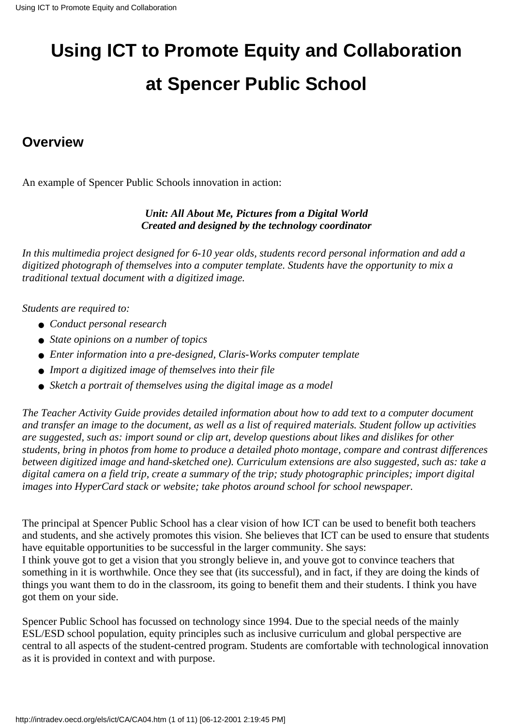# **Using ICT to Promote Equity and Collaboration at Spencer Public School**

### **Overview**

An example of Spencer Public School s innovation in action:

### *Unit: All About Me, Pictures from a Digital World Created and designed by the technology coordinator*

*In this multimedia project designed for 6-10 year olds, students record personal information and add a digitized photograph of themselves into a computer template. Students have the opportunity to mix a traditional textual document with a digitized image.*

*Students are required to:*

- *Conduct personal research*
- *State opinions on a number of topics*
- *Enter information into a pre-designed, Claris-Works computer template*
- *Import a digitized image of themselves into their file*
- *Sketch a portrait of themselves using the digital image as a model*

*The Teacher Activity Guide provides detailed information about how to add text to a computer document and transfer an image to the document, as well as a list of required materials. Student follow up activities are suggested, such as: import sound or clip art, develop questions about likes and dislikes for other students, bring in photos from home to produce a detailed photo montage, compare and contrast differences between digitized image and hand-sketched one). Curriculum extensions are also suggested, such as: take a digital camera on a field trip, create a summary of the trip; study photographic principles; import digital images into HyperCard stack or website; take photos around school for school newspaper.*

The principal at Spencer Public School has a clear vision of how ICT can be used to benefit both teachers and students, and she actively promotes this vision. She believes that ICT can be used to ensure that students have equitable opportunities to be successful in the larger community. She says: I think youve got to get a vision that you strongly believe in, and youve got to convince teachers that something in it is worthwhile. Once they see that (it s successful), and in fact, if they are doing the kinds of things you want them to do in the classroom, it s going to benefit them and their students. I think you have got them on your side.

Spencer Public School has focussed on technology since 1994. Due to the special needs of the mainly ESL/ESD school population, equity principles such as inclusive curriculum and global perspective are central to all aspects of the student-centred program. Students are comfortable with technological innovation as it is provided in context and with purpose.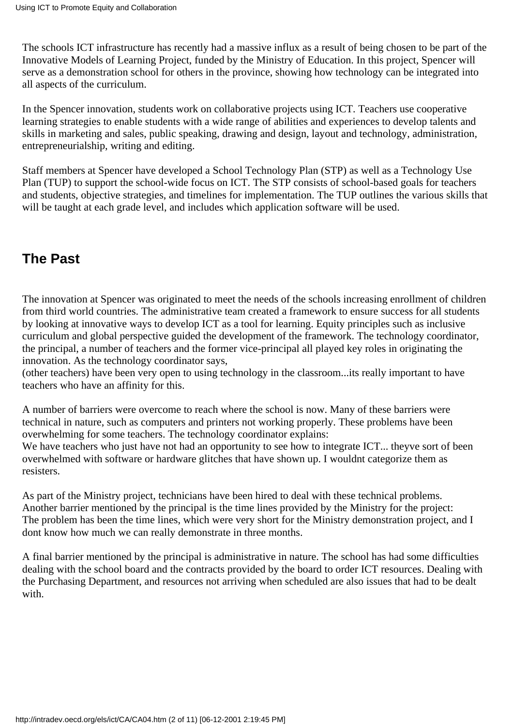The school s ICT infrastructure has recently had a massive influx as a result of being chosen to be part of the Innovative Models of Learning Project, funded by the Ministry of Education. In this project, Spencer will serve as a demonstration school for others in the province, showing how technology can be integrated into all aspects of the curriculum.

In the Spencer innovation, students work on collaborative projects using ICT. Teachers use cooperative learning strategies to enable students with a wide range of abilities and experiences to develop talents and skills in marketing and sales, public speaking, drawing and design, layout and technology, administration, entrepreneurialship, writing and editing.

Staff members at Spencer have developed a School Technology Plan (STP) as well as a Technology Use Plan (TUP) to support the school-wide focus on ICT. The STP consists of school-based goals for teachers and students, objective strategies, and timelines for implementation. The TUP outlines the various skills that will be taught at each grade level, and includes which application software will be used.

### **The Past**

The innovation at Spencer was originated to meet the needs of the school s increasing enrollment of children from third world countries. The administrative team created a framework to ensure success for all students by looking at innovative ways to develop ICT as a tool for learning. Equity principles such as inclusive curriculum and global perspective guided the development of the framework. The technology coordinator, the principal, a number of teachers and the former vice-principal all played key roles in originating the innovation. As the technology coordinator says,

(other teachers) have been very open to using technology in the classroom...it s really important to have teachers who have an affinity for this.

A number of barriers were overcome to reach where the school is now. Many of these barriers were technical in nature, such as computers and printers not working properly. These problems have been overwhelming for some teachers. The technology coordinator explains:

We have teachers who just have not had an opportunity to see how to integrate ICT... they ve sort of been overwhelmed with software or hardware glitches that have shown up. I wouldnt categorize them as resisters.

As part of the Ministry project, technicians have been hired to deal with these technical problems. Another barrier mentioned by the principal is the time lines provided by the Ministry for the project: The problem has been the time lines, which were very short for the Ministry demonstration project, and I dont know how much we can really demonstrate in three months.

A final barrier mentioned by the principal is administrative in nature. The school has had some difficulties dealing with the school board and the contracts provided by the board to order ICT resources. Dealing with the Purchasing Department, and resources not arriving when scheduled are also issues that had to be dealt with.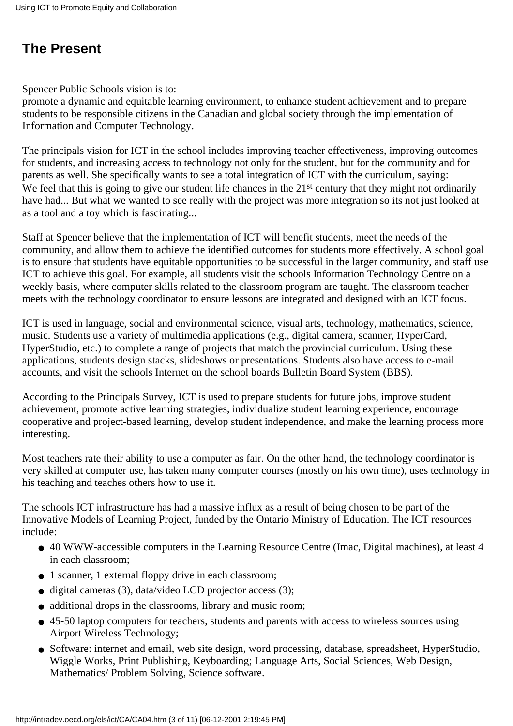### **The Present**

Spencer Public School s vision is to:

promote a dynamic and equitable learning environment, to enhance student achievement and to prepare students to be responsible citizens in the Canadian and global society through the implementation of Information and Computer Technology.

The principals vision for ICT in the school includes improving teacher effectiveness, improving outcomes for students, and increasing access to technology not only for the student, but for the community and for parents as well. She specifically wants to see a total integration of ICT with the curriculum, saying: We feel that this is going to give our student life chances in the 21<sup>st</sup> century that they might not ordinarily have had... But what we wanted to see really with the project was more integration so it s not just looked at as a tool and a toy which is fascinating...

Staff at Spencer believe that the implementation of ICT will benefit students, meet the needs of the community, and allow them to achieve the identified outcomes for students more effectively. A school goal is to ensure that students have equitable opportunities to be successful in the larger community, and staff use ICT to achieve this goal. For example, all students visit the school s Information Technology Centre on a weekly basis, where computer skills related to the classroom program are taught. The classroom teacher meets with the technology coordinator to ensure lessons are integrated and designed with an ICT focus.

ICT is used in language, social and environmental science, visual arts, technology, mathematics, science, music. Students use a variety of multimedia applications (e.g., digital camera, scanner, HyperCard, HyperStudio, etc.) to complete a range of projects that match the provincial curriculum. Using these applications, students design stacks, slideshows or presentations. Students also have access to e-mail accounts, and visit the schools Internet on the school board s Bulletin Board System (BBS).

According to the Principal s Survey, ICT is used to prepare students for future jobs, improve student achievement, promote active learning strategies, individualize student learning experience, encourage cooperative and project-based learning, develop student independence, and make the learning process more interesting.

Most teachers rate their ability to use a computer as fair. On the other hand, the technology coordinator is very skilled at computer use, has taken many computer courses (mostly on his own time), uses technology in his teaching and teaches others how to use it.

The school s ICT infrastructure has had a massive influx as a result of being chosen to be part of the Innovative Models of Learning Project, funded by the Ontario Ministry of Education. The ICT resources include:

- 40 WWW-accessible computers in the Learning Resource Centre (Imac, Digital machines), at least 4 in each classroom;
- 1 scanner, 1 external floppy drive in each classroom;
- digital cameras (3), data/video LCD projector access (3);
- additional drops in the classrooms, library and music room;
- 45-50 laptop computers for teachers, students and parents with access to wireless sources using Airport Wireless Technology;
- Software: internet and email, web site design, word processing, database, spreadsheet, HyperStudio, Wiggle Works, Print Publishing, Keyboarding; Language Arts, Social Sciences, Web Design, Mathematics/ Problem Solving, Science software.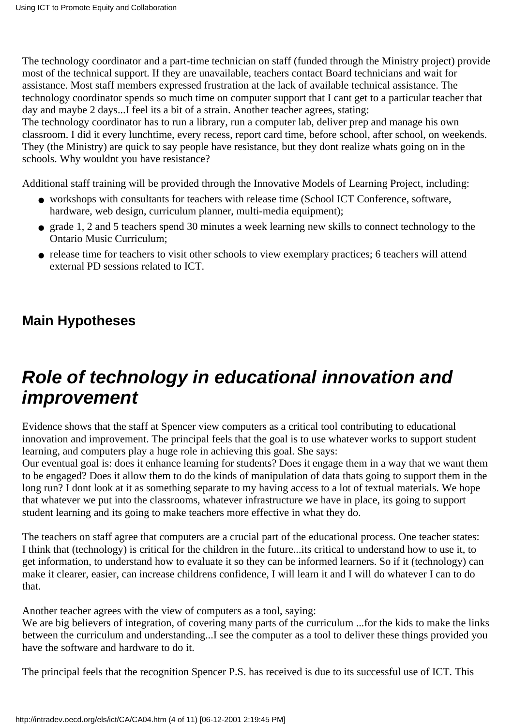The technology coordinator and a part-time technician on staff (funded through the Ministry project) provide most of the technical support. If they are unavailable, teachers contact Board technicians and wait for assistance. Most staff members expressed frustration at the lack of available technical assistance. The technology coordinator spends so much time on computer support that I cant get to a particular teacher that day and maybe 2 days...I feel it s a bit of a strain. Another teacher agrees, stating:

The technology coordinator has to run a library, run a computer lab, deliver prep and manage his own classroom. I did it every lunchtime, every recess, report card time, before school, after school, on weekends. They (the Ministry) are quick to say people have resistance, but they don t realize what s going on in the schools. Why wouldn t you have resistance?

Additional staff training will be provided through the Innovative Models of Learning Project, including:

- workshops with consultants for teachers with release time (School ICT Conference, software, hardware, web design, curriculum planner, multi-media equipment);
- grade 1, 2 and 5 teachers spend 30 minutes a week learning new skills to connect technology to the Ontario Music Curriculum;
- release time for teachers to visit other schools to view exemplary practices; 6 teachers will attend external PD sessions related to ICT.

### **Main Hypotheses**

## **Role of technology in educational innovation and improvement**

Evidence shows that the staff at Spencer view computers as a critical tool contributing to educational innovation and improvement. The principal feels that the goal is to use whatever works to support student learning, and computers play a huge role in achieving this goal. She says:

Our eventual goal is: does it enhance learning for students? Does it engage them in a way that we want them to be engaged? Does it allow them to do the kinds of manipulation of data that s going to support them in the long run? I dont look at it as something separate to my having access to a lot of textual materials. We hope that whatever we put into the classrooms, whatever infrastructure we have in place, its going to support student learning and it s going to make teachers more effective in what they do.

The teachers on staff agree that computers are a crucial part of the educational process. One teacher states: I think that (technology) is critical for the children in the future...it s critical to understand how to use it, to get information, to understand how to evaluate it so they can be informed learners. So if it (technology) can make it clearer, easier, can increase children s confidence, I will learn it and I will do whatever I can to do that.

Another teacher agrees with the view of computers as a tool, saying:

We are big believers of integration, of covering many parts of the curriculum ...for the kids to make the links between the curriculum and understanding...I see the computer as a tool to deliver these things provided you have the software and hardware to do it.

The principal feels that the recognition Spencer P.S. has received is due to its successful use of ICT. This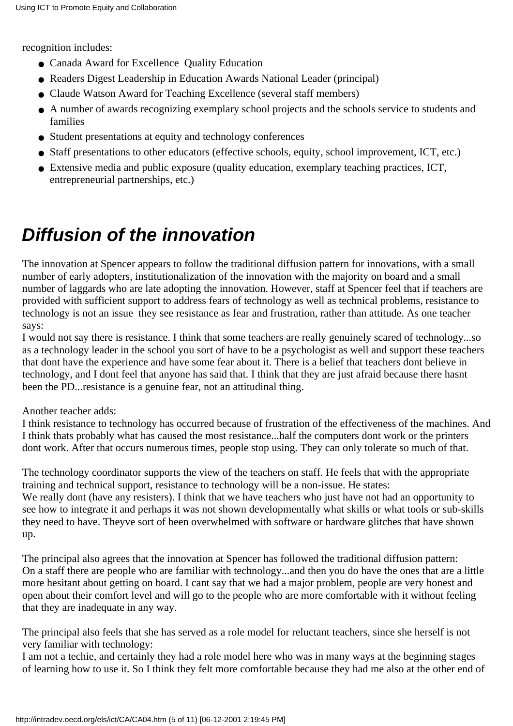recognition includes:

- Canada Award for Excellence Quality Education
- Reader s Digest Leadership in Education Awards National Leader (principal)
- Claude Watson Award for Teaching Excellence (several staff members)
- A number of awards recognizing exemplary school projects and the school s service to students and families
- Student presentations at equity and technology conferences
- Staff presentations to other educators (effective schools, equity, school improvement, ICT, etc.)
- Extensive media and public exposure (quality education, exemplary teaching practices, ICT, entrepreneurial partnerships, etc.)

## **Diffusion of the innovation**

The innovation at Spencer appears to follow the traditional diffusion pattern for innovations, with a small number of early adopters, institutionalization of the innovation with the majority on board and a small number of laggards who are late adopting the innovation. However, staff at Spencer feel that if teachers are provided with sufficient support to address fears of technology as well as technical problems, resistance to technology is not an issue they see resistance as fear and frustration, rather than attitude. As one teacher says:

I would not say there is resistance. I think that some teachers are really genuinely scared of technology...so as a technology leader in the school you sort of have to be a psychologist as well and support these teachers that dont have the experience and have some fear about it. There is a belief that teachers dont believe in technology, and I dont feel that anyone has said that. I think that they are just afraid because there hasn t been the PD...resistance is a genuine fear, not an attitudinal thing.

### Another teacher adds:

I think resistance to technology has occurred because of frustration of the effectiveness of the machines. And I think that s probably what has caused the most resistance...half the computers don t work or the printers dont work. After that occurs numerous times, people stop using. They can only tolerate so much of that.

The technology coordinator supports the view of the teachers on staff. He feels that with the appropriate training and technical support, resistance to technology will be a non-issue. He states: We really don t (have any resisters). I think that we have teachers who just have not had an opportunity to

see how to integrate it and perhaps it was not shown developmentally what skills or what tools or sub-skills they need to have. They ve sort of been overwhelmed with software or hardware glitches that have shown up.

The principal also agrees that the innovation at Spencer has followed the traditional diffusion pattern: On a staff there are people who are familiar with technology...and then you do have the ones that are a little more hesitant about getting on board. I can t say that we had a major problem, people are very honest and open about their comfort level and will go to the people who are more comfortable with it without feeling that they are inadequate in any way.

The principal also feels that she has served as a role model for reluctant teachers, since she herself is not very familiar with technology:

I am not a techie, and certainly they had a role model here who was in many ways at the beginning stages of learning how to use it. So I think they felt more comfortable because they had me also at the other end of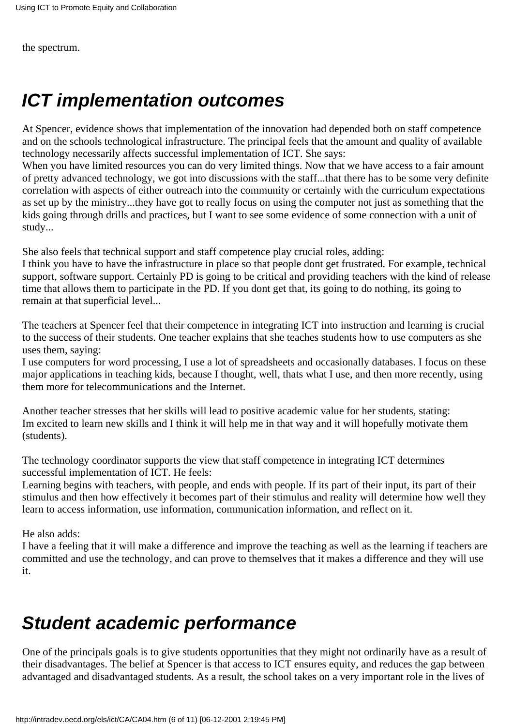the spectrum.

## **ICT implementation outcomes**

At Spencer, evidence shows that implementation of the innovation had depended both on staff competence and on the school s technological infrastructure. The principal feels that the amount and quality of available technology necessarily affects successful implementation of ICT. She says:

When you have limited resources you can do very limited things. Now that we have access to a fair amount of pretty advanced technology, we got into discussions with the staff...that there has to be some very definite correlation with aspects of either outreach into the community or certainly with the curriculum expectations as set up by the ministry...they have got to really focus on using the computer not just as something that the kids going through drills and practices, but I want to see some evidence of some connection with a unit of study...

She also feels that technical support and staff competence play crucial roles, adding:

I think you have to have the infrastructure in place so that people dont get frustrated. For example, technical support, software support. Certainly PD is going to be critical and providing teachers with the kind of release time that allows them to participate in the PD. If you don t get that, it s going to do nothing, it s going to remain at that superficial level...

The teachers at Spencer feel that their competence in integrating ICT into instruction and learning is crucial to the success of their students. One teacher explains that she teaches students how to use computers as she uses them, saying:

I use computers for word processing, I use a lot of spreadsheets and occasionally databases. I focus on these major applications in teaching kids, because I thought, well, that s what I use, and then more recently, using them more for telecommunications and the Internet.

Another teacher stresses that her skills will lead to positive academic value for her students, stating: Im excited to learn new skills and I think it will help me in that way and it will hopefully motivate them (students).

The technology coordinator supports the view that staff competence in integrating ICT determines successful implementation of ICT. He feels:

Learning begins with teachers, with people, and ends with people. If it s part of their input, it s part of their stimulus and then how effectively it becomes part of their stimulus and reality will determine how well they learn to access information, use information, communication information, and reflect on it.

He also adds:

I have a feeling that it will make a difference and improve the teaching as well as the learning if teachers are committed and use the technology, and can prove to themselves that it makes a difference and they will use it.

## **Student academic performance**

One of the principals goals is to give students opportunities that they might not ordinarily have as a result of their disadvantages. The belief at Spencer is that access to ICT ensures equity, and reduces the gap between advantaged and disadvantaged students. As a result, the school takes on a very important role in the lives of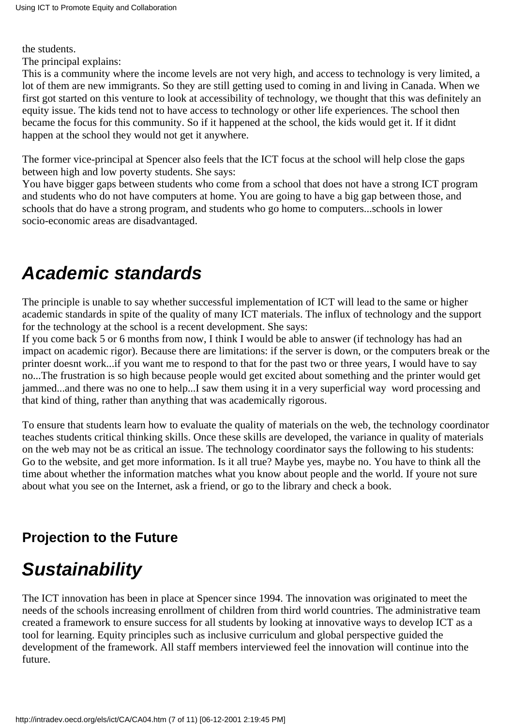the students.

The principal explains:

This is a community where the income levels are not very high, and access to technology is very limited, a lot of them are new immigrants. So they are still getting used to coming in and living in Canada. When we first got started on this venture to look at accessibility of technology, we thought that this was definitely an equity issue. The kids tend not to have access to technology or other life experiences. The school then became the focus for this community. So if it happened at the school, the kids would get it. If it didn t happen at the school they would not get it anywhere.

The former vice-principal at Spencer also feels that the ICT focus at the school will help close the gaps between high and low poverty students. She says:

You have bigger gaps between students who come from a school that does not have a strong ICT program and students who do not have computers at home. You are going to have a big gap between those, and schools that do have a strong program, and students who go home to computers...schools in lower socio-economic areas are disadvantaged.

## **Academic standards**

The principle is unable to say whether successful implementation of ICT will lead to the same or higher academic standards in spite of the quality of many ICT materials. The influx of technology and the support for the technology at the school is a recent development. She says:

If you come back 5 or 6 months from now, I think I would be able to answer (if technology has had an impact on academic rigor). Because there are limitations: if the server is down, or the computers break or the printer doesn t work...if you want me to respond to that for the past two or three years, I would have to say no...The frustration is so high because people would get excited about something and the printer would get jammed...and there was no one to help...I saw them using it in a very superficial way word processing and that kind of thing, rather than anything that was academically rigorous.

To ensure that students learn how to evaluate the quality of materials on the web, the technology coordinator teaches students critical thinking skills. Once these skills are developed, the variance in quality of materials on the web may not be as critical an issue. The technology coordinator says the following to his students: Go to the website, and get more information. Is it all true? Maybe yes, maybe no. You have to think all the time about whether the information matches what you know about people and the world. If youre not sure about what you see on the Internet, ask a friend, or go to the library and check a book.

### **Projection to the Future**

## **Sustainability**

The ICT innovation has been in place at Spencer since 1994. The innovation was originated to meet the needs of the school s increasing enrollment of children from third world countries. The administrative team created a framework to ensure success for all students by looking at innovative ways to develop ICT as a tool for learning. Equity principles such as inclusive curriculum and global perspective guided the development of the framework. All staff members interviewed feel the innovation will continue into the future.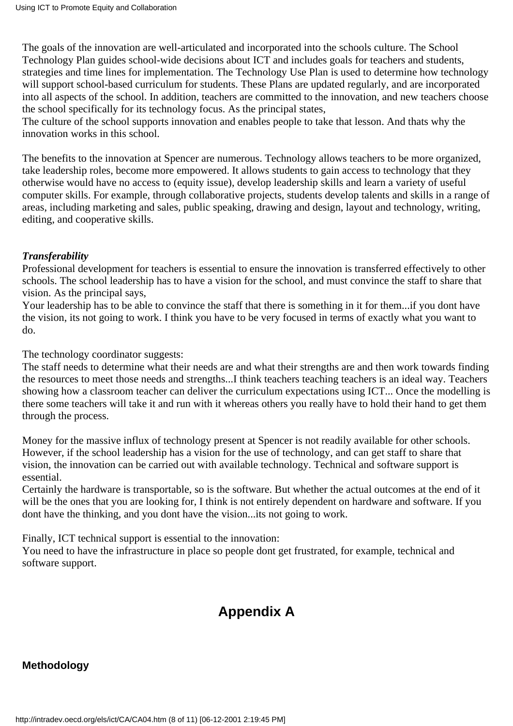The goals of the innovation are well-articulated and incorporated into the school s culture. The School Technology Plan guides school-wide decisions about ICT and includes goals for teachers and students, strategies and time lines for implementation. The Technology Use Plan is used to determine how technology will support school-based curriculum for students. These Plans are updated regularly, and are incorporated into all aspects of the school. In addition, teachers are committed to the innovation, and new teachers choose the school specifically for its technology focus. As the principal states,

The culture of the school supports innovation and enables people to take that lesson. And that s why the innovation works in this school.

The benefits to the innovation at Spencer are numerous. Technology allows teachers to be more organized, take leadership roles, become more empowered. It allows students to gain access to technology that they otherwise would have no access to (equity issue), develop leadership skills and learn a variety of useful computer skills. For example, through collaborative projects, students develop talents and skills in a range of areas, including marketing and sales, public speaking, drawing and design, layout and technology, writing, editing, and cooperative skills.

### *Transferability*

Professional development for teachers is essential to ensure the innovation is transferred effectively to other schools. The school leadership has to have a vision for the school, and must convince the staff to share that vision. As the principal says,

Your leadership has to be able to convince the staff that there is something in it for them...if you dont have the vision, it s not going to work. I think you have to be very focused in terms of exactly what you want to do.

The technology coordinator suggests:

The staff needs to determine what their needs are and what their strengths are and then work towards finding the resources to meet those needs and strengths...I think teachers teaching teachers is an ideal way. Teachers showing how a classroom teacher can deliver the curriculum expectations using ICT... Once the modelling is there some teachers will take it and run with it whereas others you really have to hold their hand to get them through the process.

Money for the massive influx of technology present at Spencer is not readily available for other schools. However, if the school leadership has a vision for the use of technology, and can get staff to share that vision, the innovation can be carried out with available technology. Technical and software support is essential.

Certainly the hardware is transportable, so is the software. But whether the actual outcomes at the end of it will be the ones that you are looking for, I think is not entirely dependent on hardware and software. If you don t have the thinking, and you don t have the vision...it s not going to work.

Finally, ICT technical support is essential to the innovation:

You need to have the infrastructure in place so people dont get frustrated, for example, technical and software support.

### **Appendix A**

### **Methodology**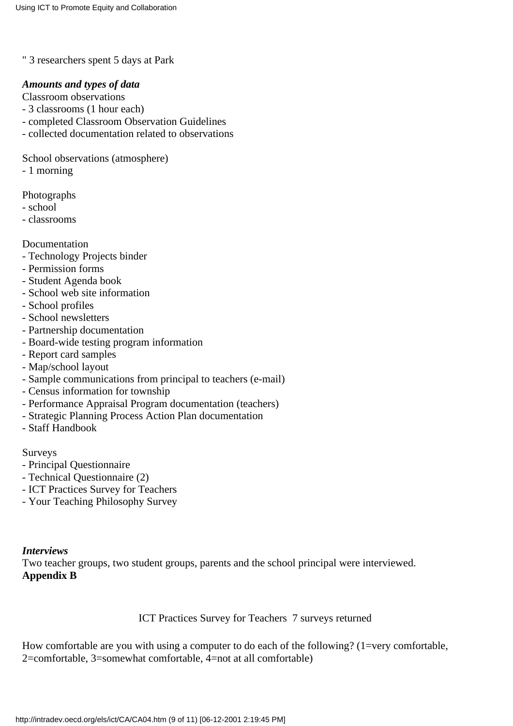" 3 researchers spent 5 days at Park

#### *Amounts and types of data*

Classroom observations

- 3 classrooms (1 hour each)
- completed Classroom Observation Guidelines
- collected documentation related to observations

School observations (atmosphere)

- 1 morning

Photographs

- school
- classrooms

#### Documentation

- Technology Projects binder
- Permission forms
- Student Agenda book
- School web site information
- School profiles
- School newsletters
- Partnership documentation
- Board-wide testing program information
- Report card samples
- Map/school layout
- Sample communications from principal to teachers (e-mail)
- Census information for township
- Performance Appraisal Program documentation (teachers)
- Strategic Planning Process Action Plan documentation
- Staff Handbook

Surveys

- Principal Questionnaire
- Technical Questionnaire (2)
- ICT Practices Survey for Teachers
- Your Teaching Philosophy Survey

#### *Interviews*

Two teacher groups, two student groups, parents and the school principal were interviewed. **Appendix B**

#### ICT Practices Survey for Teachers 7 surveys returned

How comfortable are you with using a computer to do each of the following? (1=very comfortable, 2=comfortable, 3=somewhat comfortable, 4=not at all comfortable)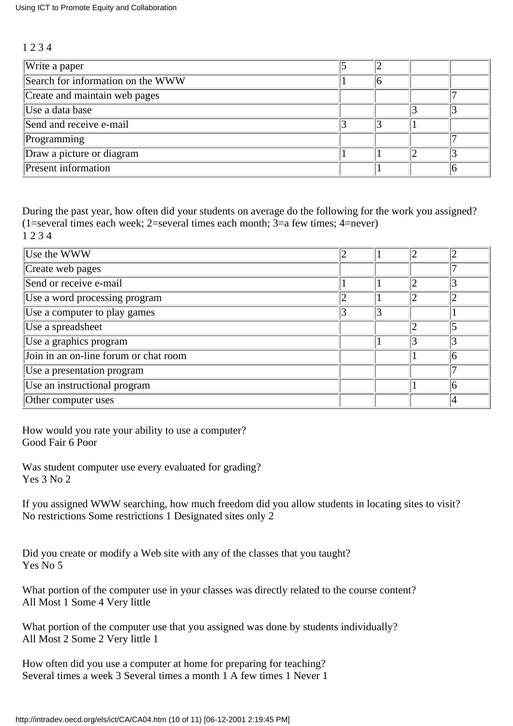#### 1 2 3 4

| Write a paper                     |  |  |
|-----------------------------------|--|--|
| Search for information on the WWW |  |  |
| Create and maintain web pages     |  |  |
| Use a data base                   |  |  |
| Send and receive e-mail           |  |  |
| Programming                       |  |  |
| Draw a picture or diagram         |  |  |
| Present information               |  |  |

During the past year, how often did your students on average do the following for the work you assigned?  $(1=$ several times each week; 2=several times each month; 3=a few times; 4=never) 1 2 3 4

| Use the WWW                           |  |  |
|---------------------------------------|--|--|
| Create web pages                      |  |  |
| Send or receive e-mail                |  |  |
| Use a word processing program         |  |  |
| Use a computer to play games          |  |  |
| Use a spreadsheet                     |  |  |
| Use a graphics program                |  |  |
| Join in an on-line forum or chat room |  |  |
| Use a presentation program            |  |  |
| Use an instructional program          |  |  |
| Other computer uses                   |  |  |

How would you rate your ability to use a computer? Good Fair 6 Poor

Was student computer use every evaluated for grading? Yes 3 No 2

If you assigned WWW searching, how much freedom did you allow students in locating sites to visit? No restrictions Some restrictions 1 Designated sites only 2

Did you create or modify a Web site with any of the classes that you taught? Yes No 5

What portion of the computer use in your classes was directly related to the course content? All Most 1 Some 4 Very little

What portion of the computer use that you assigned was done by students individually? All Most 2 Some 2 Very little 1

How often did you use a computer at home for preparing for teaching? Several times a week 3 Several times a month 1 A few times 1 Never 1